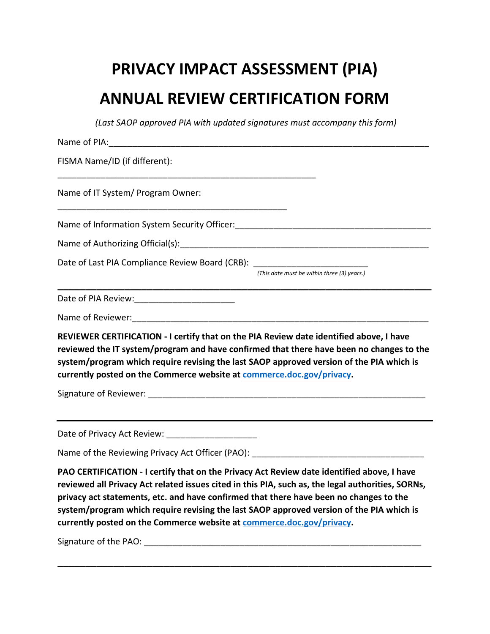## **PRIVACY IMPACT ASSESSMENT (PIA) ANNUAL REVIEW CERTIFICATION FORM**

*(Last SAOP approved PIA with updated signatures must accompany this form)*

| FISMA Name/ID (if different):                                                                                                                                                                                                                                                                                                                            |
|----------------------------------------------------------------------------------------------------------------------------------------------------------------------------------------------------------------------------------------------------------------------------------------------------------------------------------------------------------|
| Name of IT System/ Program Owner:                                                                                                                                                                                                                                                                                                                        |
|                                                                                                                                                                                                                                                                                                                                                          |
| Name of Authorizing Official(s): Manual Community of Authorizing Official(s):                                                                                                                                                                                                                                                                            |
| Date of Last PIA Compliance Review Board (CRB): ________________________________<br>(This date must be within three (3) years.)                                                                                                                                                                                                                          |
|                                                                                                                                                                                                                                                                                                                                                          |
| Name of Reviewer: Manual Manual Manual Manual Manual Manual Manual Manual Manual Manual Manual Manual Manual M                                                                                                                                                                                                                                           |
|                                                                                                                                                                                                                                                                                                                                                          |
| REVIEWER CERTIFICATION - I certify that on the PIA Review date identified above, I have<br>reviewed the IT system/program and have confirmed that there have been no changes to the<br>system/program which require revising the last SAOP approved version of the PIA which is<br>currently posted on the Commerce website at commerce.doc.gov/privacy. |
| Date of Privacy Act Review: _____________________                                                                                                                                                                                                                                                                                                        |
| Name of the Reviewing Privacy Act Officer (PAO):                                                                                                                                                                                                                                                                                                         |

**\_\_\_\_\_\_\_\_\_\_\_\_\_\_\_\_\_\_\_\_\_\_\_\_\_\_\_\_\_\_\_\_\_\_\_\_\_\_\_\_\_\_\_\_\_\_\_\_\_\_\_\_\_\_\_\_\_\_\_\_\_\_\_\_\_\_\_**